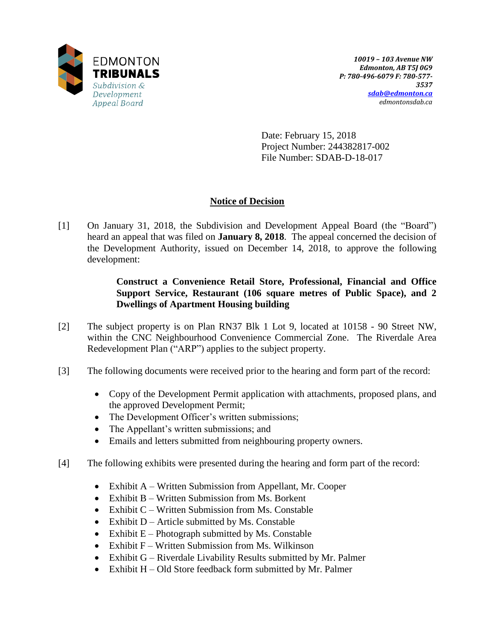

Date: February 15, 2018 Project Number: 244382817-002 File Number: SDAB-D-18-017

# **Notice of Decision**

[1] On January 31, 2018, the Subdivision and Development Appeal Board (the "Board") heard an appeal that was filed on **January 8, 2018**. The appeal concerned the decision of the Development Authority, issued on December 14, 2018, to approve the following development:

## **Construct a Convenience Retail Store, Professional, Financial and Office Support Service, Restaurant (106 square metres of Public Space), and 2 Dwellings of Apartment Housing building**

- [2] The subject property is on Plan RN37 Blk 1 Lot 9, located at 10158 90 Street NW, within the CNC Neighbourhood Convenience Commercial Zone. The Riverdale Area Redevelopment Plan ("ARP") applies to the subject property.
- [3] The following documents were received prior to the hearing and form part of the record:
	- Copy of the Development Permit application with attachments, proposed plans, and the approved Development Permit;
	- The Development Officer's written submissions;
	- The Appellant's written submissions; and
	- Emails and letters submitted from neighbouring property owners.
- [4] The following exhibits were presented during the hearing and form part of the record:
	- Exhibit A Written Submission from Appellant, Mr. Cooper
	- Exhibit B Written Submission from Ms. Borkent
	- Exhibit  $C W$ ritten Submission from Ms. Constable
	- Exhibit  $D -$  Article submitted by Ms. Constable
	- Exhibit  $E$  Photograph submitted by Ms. Constable
	- Exhibit F Written Submission from Ms. Wilkinson
	- Exhibit G Riverdale Livability Results submitted by Mr. Palmer
	- Exhibit H Old Store feedback form submitted by Mr. Palmer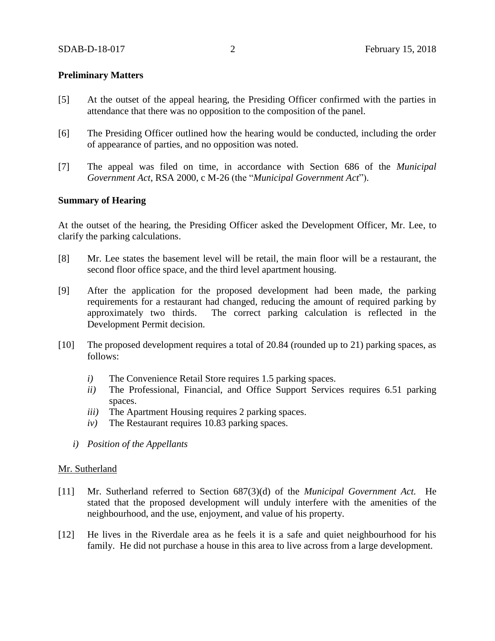## **Preliminary Matters**

- [5] At the outset of the appeal hearing, the Presiding Officer confirmed with the parties in attendance that there was no opposition to the composition of the panel.
- [6] The Presiding Officer outlined how the hearing would be conducted, including the order of appearance of parties, and no opposition was noted.
- [7] The appeal was filed on time, in accordance with Section 686 of the *Municipal Government Act*, RSA 2000, c M-26 (the "*Municipal Government Act*").

## **Summary of Hearing**

At the outset of the hearing, the Presiding Officer asked the Development Officer, Mr. Lee, to clarify the parking calculations.

- [8] Mr. Lee states the basement level will be retail, the main floor will be a restaurant, the second floor office space, and the third level apartment housing.
- [9] After the application for the proposed development had been made, the parking requirements for a restaurant had changed, reducing the amount of required parking by approximately two thirds. The correct parking calculation is reflected in the Development Permit decision.
- [10] The proposed development requires a total of 20.84 (rounded up to 21) parking spaces, as follows:
	- *i)* The Convenience Retail Store requires 1.5 parking spaces.
	- *ii)* The Professional, Financial, and Office Support Services requires 6.51 parking spaces.
	- *iii)* The Apartment Housing requires 2 parking spaces.
	- *iv)* The Restaurant requires 10.83 parking spaces.
	- *i) Position of the Appellants*

#### Mr. Sutherland

- [11] Mr. Sutherland referred to Section 687(3)(d) of the *Municipal Government Act.* He stated that the proposed development will unduly interfere with the amenities of the neighbourhood, and the use, enjoyment, and value of his property.
- [12] He lives in the Riverdale area as he feels it is a safe and quiet neighbourhood for his family. He did not purchase a house in this area to live across from a large development.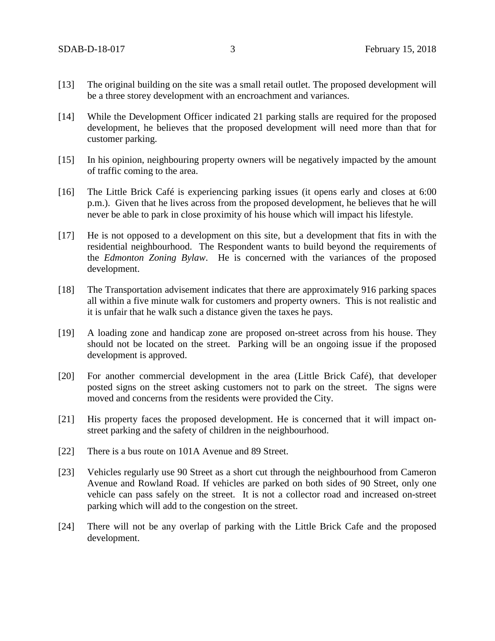- [13] The original building on the site was a small retail outlet. The proposed development will be a three storey development with an encroachment and variances.
- [14] While the Development Officer indicated 21 parking stalls are required for the proposed development, he believes that the proposed development will need more than that for customer parking.
- [15] In his opinion, neighbouring property owners will be negatively impacted by the amount of traffic coming to the area.
- [16] The Little Brick Café is experiencing parking issues (it opens early and closes at 6:00 p.m.). Given that he lives across from the proposed development, he believes that he will never be able to park in close proximity of his house which will impact his lifestyle.
- [17] He is not opposed to a development on this site, but a development that fits in with the residential neighbourhood. The Respondent wants to build beyond the requirements of the *Edmonton Zoning Bylaw*. He is concerned with the variances of the proposed development.
- [18] The Transportation advisement indicates that there are approximately 916 parking spaces all within a five minute walk for customers and property owners. This is not realistic and it is unfair that he walk such a distance given the taxes he pays.
- [19] A loading zone and handicap zone are proposed on-street across from his house. They should not be located on the street. Parking will be an ongoing issue if the proposed development is approved.
- [20] For another commercial development in the area (Little Brick Café), that developer posted signs on the street asking customers not to park on the street. The signs were moved and concerns from the residents were provided the City.
- [21] His property faces the proposed development. He is concerned that it will impact onstreet parking and the safety of children in the neighbourhood.
- [22] There is a bus route on 101A Avenue and 89 Street.
- [23] Vehicles regularly use 90 Street as a short cut through the neighbourhood from Cameron Avenue and Rowland Road. If vehicles are parked on both sides of 90 Street, only one vehicle can pass safely on the street. It is not a collector road and increased on-street parking which will add to the congestion on the street.
- [24] There will not be any overlap of parking with the Little Brick Cafe and the proposed development.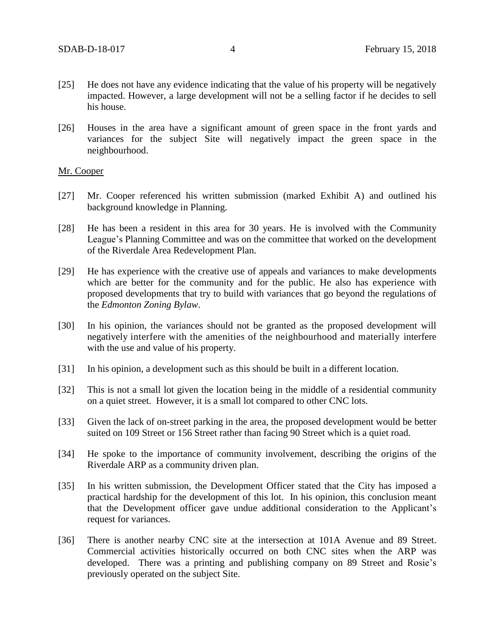- [25] He does not have any evidence indicating that the value of his property will be negatively impacted. However, a large development will not be a selling factor if he decides to sell his house.
- [26] Houses in the area have a significant amount of green space in the front yards and variances for the subject Site will negatively impact the green space in the neighbourhood.

## Mr. Cooper

- [27] Mr. Cooper referenced his written submission (marked Exhibit A) and outlined his background knowledge in Planning.
- [28] He has been a resident in this area for 30 years. He is involved with the Community League's Planning Committee and was on the committee that worked on the development of the Riverdale Area Redevelopment Plan.
- [29] He has experience with the creative use of appeals and variances to make developments which are better for the community and for the public. He also has experience with proposed developments that try to build with variances that go beyond the regulations of the *Edmonton Zoning Bylaw*.
- [30] In his opinion, the variances should not be granted as the proposed development will negatively interfere with the amenities of the neighbourhood and materially interfere with the use and value of his property.
- [31] In his opinion, a development such as this should be built in a different location.
- [32] This is not a small lot given the location being in the middle of a residential community on a quiet street. However, it is a small lot compared to other CNC lots.
- [33] Given the lack of on-street parking in the area, the proposed development would be better suited on 109 Street or 156 Street rather than facing 90 Street which is a quiet road.
- [34] He spoke to the importance of community involvement, describing the origins of the Riverdale ARP as a community driven plan.
- [35] In his written submission, the Development Officer stated that the City has imposed a practical hardship for the development of this lot. In his opinion, this conclusion meant that the Development officer gave undue additional consideration to the Applicant's request for variances.
- [36] There is another nearby CNC site at the intersection at 101A Avenue and 89 Street. Commercial activities historically occurred on both CNC sites when the ARP was developed. There was a printing and publishing company on 89 Street and Rosie's previously operated on the subject Site.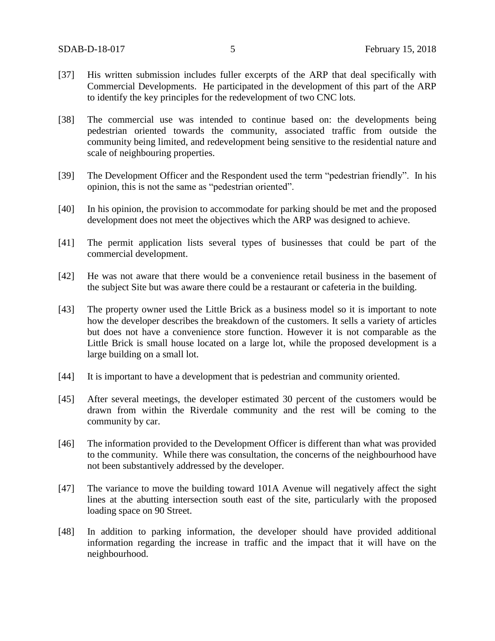- [37] His written submission includes fuller excerpts of the ARP that deal specifically with Commercial Developments. He participated in the development of this part of the ARP to identify the key principles for the redevelopment of two CNC lots.
- [38] The commercial use was intended to continue based on: the developments being pedestrian oriented towards the community, associated traffic from outside the community being limited, and redevelopment being sensitive to the residential nature and scale of neighbouring properties.
- [39] The Development Officer and the Respondent used the term "pedestrian friendly". In his opinion, this is not the same as "pedestrian oriented".
- [40] In his opinion, the provision to accommodate for parking should be met and the proposed development does not meet the objectives which the ARP was designed to achieve.
- [41] The permit application lists several types of businesses that could be part of the commercial development.
- [42] He was not aware that there would be a convenience retail business in the basement of the subject Site but was aware there could be a restaurant or cafeteria in the building.
- [43] The property owner used the Little Brick as a business model so it is important to note how the developer describes the breakdown of the customers. It sells a variety of articles but does not have a convenience store function. However it is not comparable as the Little Brick is small house located on a large lot, while the proposed development is a large building on a small lot.
- [44] It is important to have a development that is pedestrian and community oriented.
- [45] After several meetings, the developer estimated 30 percent of the customers would be drawn from within the Riverdale community and the rest will be coming to the community by car.
- [46] The information provided to the Development Officer is different than what was provided to the community. While there was consultation, the concerns of the neighbourhood have not been substantively addressed by the developer.
- [47] The variance to move the building toward 101A Avenue will negatively affect the sight lines at the abutting intersection south east of the site, particularly with the proposed loading space on 90 Street.
- [48] In addition to parking information, the developer should have provided additional information regarding the increase in traffic and the impact that it will have on the neighbourhood.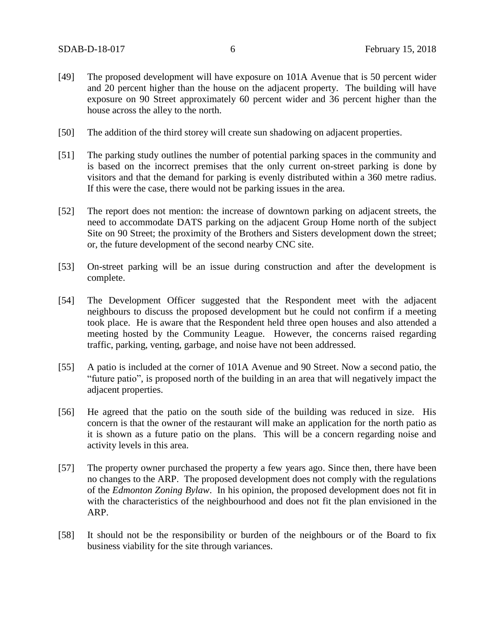- [49] The proposed development will have exposure on 101A Avenue that is 50 percent wider and 20 percent higher than the house on the adjacent property. The building will have exposure on 90 Street approximately 60 percent wider and 36 percent higher than the house across the alley to the north.
- [50] The addition of the third storey will create sun shadowing on adjacent properties.
- [51] The parking study outlines the number of potential parking spaces in the community and is based on the incorrect premises that the only current on-street parking is done by visitors and that the demand for parking is evenly distributed within a 360 metre radius. If this were the case, there would not be parking issues in the area.
- [52] The report does not mention: the increase of downtown parking on adjacent streets, the need to accommodate DATS parking on the adjacent Group Home north of the subject Site on 90 Street; the proximity of the Brothers and Sisters development down the street; or, the future development of the second nearby CNC site.
- [53] On-street parking will be an issue during construction and after the development is complete.
- [54] The Development Officer suggested that the Respondent meet with the adjacent neighbours to discuss the proposed development but he could not confirm if a meeting took place. He is aware that the Respondent held three open houses and also attended a meeting hosted by the Community League. However, the concerns raised regarding traffic, parking, venting, garbage, and noise have not been addressed.
- [55] A patio is included at the corner of 101A Avenue and 90 Street. Now a second patio, the "future patio", is proposed north of the building in an area that will negatively impact the adjacent properties.
- [56] He agreed that the patio on the south side of the building was reduced in size. His concern is that the owner of the restaurant will make an application for the north patio as it is shown as a future patio on the plans. This will be a concern regarding noise and activity levels in this area.
- [57] The property owner purchased the property a few years ago. Since then, there have been no changes to the ARP. The proposed development does not comply with the regulations of the *Edmonton Zoning Bylaw*. In his opinion, the proposed development does not fit in with the characteristics of the neighbourhood and does not fit the plan envisioned in the ARP.
- [58] It should not be the responsibility or burden of the neighbours or of the Board to fix business viability for the site through variances.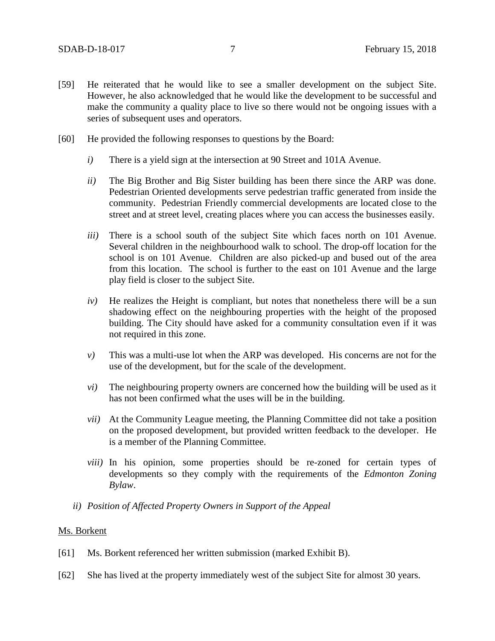- [59] He reiterated that he would like to see a smaller development on the subject Site. However, he also acknowledged that he would like the development to be successful and make the community a quality place to live so there would not be ongoing issues with a series of subsequent uses and operators.
- [60] He provided the following responses to questions by the Board:
	- *i)* There is a yield sign at the intersection at 90 Street and 101A Avenue.
	- *ii)* The Big Brother and Big Sister building has been there since the ARP was done. Pedestrian Oriented developments serve pedestrian traffic generated from inside the community. Pedestrian Friendly commercial developments are located close to the street and at street level, creating places where you can access the businesses easily.
	- *iii)* There is a school south of the subject Site which faces north on 101 Avenue. Several children in the neighbourhood walk to school. The drop-off location for the school is on 101 Avenue. Children are also picked-up and bused out of the area from this location. The school is further to the east on 101 Avenue and the large play field is closer to the subject Site.
	- $iv)$  He realizes the Height is compliant, but notes that nonetheless there will be a sun shadowing effect on the neighbouring properties with the height of the proposed building. The City should have asked for a community consultation even if it was not required in this zone.
	- *v)* This was a multi-use lot when the ARP was developed. His concerns are not for the use of the development, but for the scale of the development.
	- *vi)* The neighbouring property owners are concerned how the building will be used as it has not been confirmed what the uses will be in the building.
	- *vii)* At the Community League meeting, the Planning Committee did not take a position on the proposed development, but provided written feedback to the developer. He is a member of the Planning Committee.
	- *viii)* In his opinion, some properties should be re-zoned for certain types of developments so they comply with the requirements of the *Edmonton Zoning Bylaw*.
	- *ii) Position of Affected Property Owners in Support of the Appeal*

## Ms. Borkent

- [61] Ms. Borkent referenced her written submission (marked Exhibit B).
- [62] She has lived at the property immediately west of the subject Site for almost 30 years.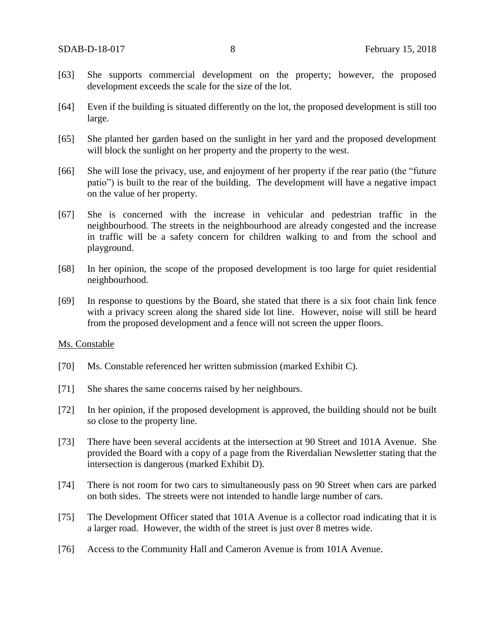- [63] She supports commercial development on the property; however, the proposed development exceeds the scale for the size of the lot.
- [64] Even if the building is situated differently on the lot, the proposed development is still too large.
- [65] She planted her garden based on the sunlight in her yard and the proposed development will block the sunlight on her property and the property to the west.
- [66] She will lose the privacy, use, and enjoyment of her property if the rear patio (the "future patio") is built to the rear of the building. The development will have a negative impact on the value of her property.
- [67] She is concerned with the increase in vehicular and pedestrian traffic in the neighbourhood. The streets in the neighbourhood are already congested and the increase in traffic will be a safety concern for children walking to and from the school and playground.
- [68] In her opinion, the scope of the proposed development is too large for quiet residential neighbourhood.
- [69] In response to questions by the Board, she stated that there is a six foot chain link fence with a privacy screen along the shared side lot line. However, noise will still be heard from the proposed development and a fence will not screen the upper floors.

### Ms. Constable

- [70] Ms. Constable referenced her written submission (marked Exhibit C).
- [71] She shares the same concerns raised by her neighbours.
- [72] In her opinion, if the proposed development is approved, the building should not be built so close to the property line.
- [73] There have been several accidents at the intersection at 90 Street and 101A Avenue. She provided the Board with a copy of a page from the Riverdalian Newsletter stating that the intersection is dangerous (marked Exhibit D).
- [74] There is not room for two cars to simultaneously pass on 90 Street when cars are parked on both sides. The streets were not intended to handle large number of cars.
- [75] The Development Officer stated that 101A Avenue is a collector road indicating that it is a larger road. However, the width of the street is just over 8 metres wide.
- [76] Access to the Community Hall and Cameron Avenue is from 101A Avenue.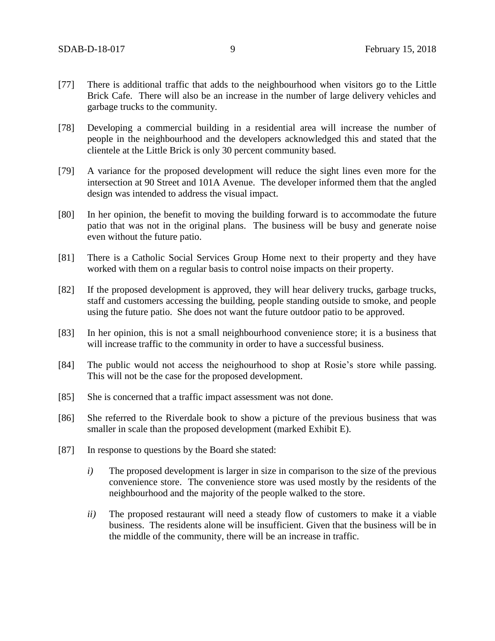- [77] There is additional traffic that adds to the neighbourhood when visitors go to the Little Brick Cafe. There will also be an increase in the number of large delivery vehicles and garbage trucks to the community.
- [78] Developing a commercial building in a residential area will increase the number of people in the neighbourhood and the developers acknowledged this and stated that the clientele at the Little Brick is only 30 percent community based.
- [79] A variance for the proposed development will reduce the sight lines even more for the intersection at 90 Street and 101A Avenue. The developer informed them that the angled design was intended to address the visual impact.
- [80] In her opinion, the benefit to moving the building forward is to accommodate the future patio that was not in the original plans. The business will be busy and generate noise even without the future patio.
- [81] There is a Catholic Social Services Group Home next to their property and they have worked with them on a regular basis to control noise impacts on their property.
- [82] If the proposed development is approved, they will hear delivery trucks, garbage trucks, staff and customers accessing the building, people standing outside to smoke, and people using the future patio. She does not want the future outdoor patio to be approved.
- [83] In her opinion, this is not a small neighbourhood convenience store; it is a business that will increase traffic to the community in order to have a successful business.
- [84] The public would not access the neighourhood to shop at Rosie's store while passing. This will not be the case for the proposed development.
- [85] She is concerned that a traffic impact assessment was not done.
- [86] She referred to the Riverdale book to show a picture of the previous business that was smaller in scale than the proposed development (marked Exhibit E).
- [87] In response to questions by the Board she stated:
	- *i)* The proposed development is larger in size in comparison to the size of the previous convenience store. The convenience store was used mostly by the residents of the neighbourhood and the majority of the people walked to the store.
	- *ii*) The proposed restaurant will need a steady flow of customers to make it a viable business. The residents alone will be insufficient. Given that the business will be in the middle of the community, there will be an increase in traffic.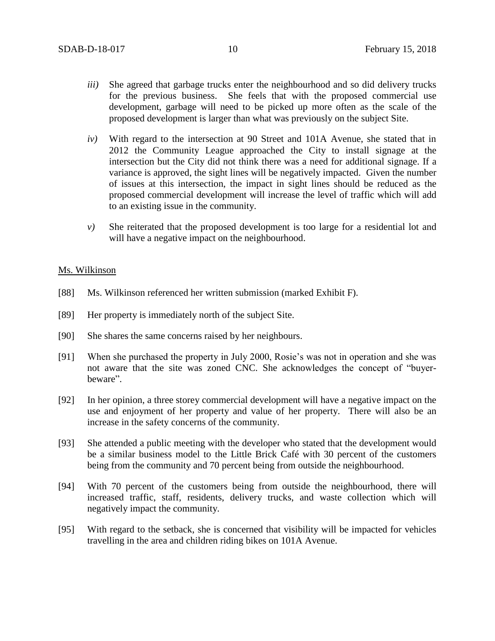- *iii)* She agreed that garbage trucks enter the neighbourhood and so did delivery trucks for the previous business. She feels that with the proposed commercial use development, garbage will need to be picked up more often as the scale of the proposed development is larger than what was previously on the subject Site.
- *iv)* With regard to the intersection at 90 Street and 101A Avenue, she stated that in 2012 the Community League approached the City to install signage at the intersection but the City did not think there was a need for additional signage. If a variance is approved, the sight lines will be negatively impacted. Given the number of issues at this intersection, the impact in sight lines should be reduced as the proposed commercial development will increase the level of traffic which will add to an existing issue in the community.
- *v)* She reiterated that the proposed development is too large for a residential lot and will have a negative impact on the neighbourhood.

## Ms. Wilkinson

- [88] Ms. Wilkinson referenced her written submission (marked Exhibit F).
- [89] Her property is immediately north of the subject Site.
- [90] She shares the same concerns raised by her neighbours.
- [91] When she purchased the property in July 2000, Rosie's was not in operation and she was not aware that the site was zoned CNC. She acknowledges the concept of "buyerbeware".
- [92] In her opinion, a three storey commercial development will have a negative impact on the use and enjoyment of her property and value of her property. There will also be an increase in the safety concerns of the community.
- [93] She attended a public meeting with the developer who stated that the development would be a similar business model to the Little Brick Café with 30 percent of the customers being from the community and 70 percent being from outside the neighbourhood.
- [94] With 70 percent of the customers being from outside the neighbourhood, there will increased traffic, staff, residents, delivery trucks, and waste collection which will negatively impact the community.
- [95] With regard to the setback, she is concerned that visibility will be impacted for vehicles travelling in the area and children riding bikes on 101A Avenue.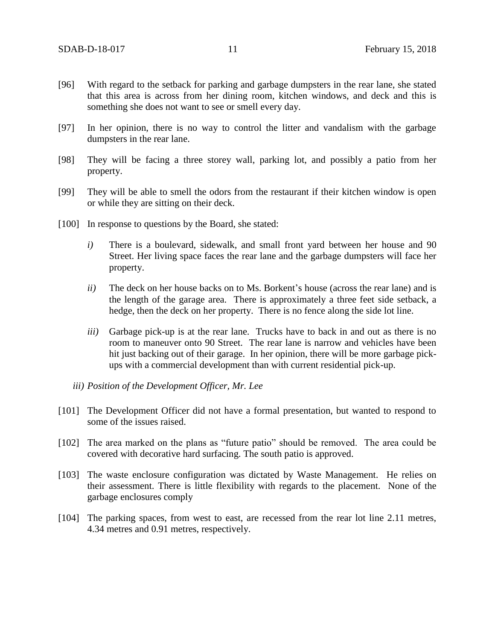- [96] With regard to the setback for parking and garbage dumpsters in the rear lane, she stated that this area is across from her dining room, kitchen windows, and deck and this is something she does not want to see or smell every day.
- [97] In her opinion, there is no way to control the litter and vandalism with the garbage dumpsters in the rear lane.
- [98] They will be facing a three storey wall, parking lot, and possibly a patio from her property.
- [99] They will be able to smell the odors from the restaurant if their kitchen window is open or while they are sitting on their deck.
- [100] In response to questions by the Board, she stated:
	- *i)* There is a boulevard, sidewalk, and small front yard between her house and 90 Street. Her living space faces the rear lane and the garbage dumpsters will face her property.
	- *ii)* The deck on her house backs on to Ms. Borkent's house (across the rear lane) and is the length of the garage area. There is approximately a three feet side setback, a hedge, then the deck on her property. There is no fence along the side lot line.
	- *iii*) Garbage pick-up is at the rear lane. Trucks have to back in and out as there is no room to maneuver onto 90 Street. The rear lane is narrow and vehicles have been hit just backing out of their garage. In her opinion, there will be more garbage pickups with a commercial development than with current residential pick-up.
	- *iii) Position of the Development Officer, Mr. Lee*
- [101] The Development Officer did not have a formal presentation, but wanted to respond to some of the issues raised.
- [102] The area marked on the plans as "future patio" should be removed. The area could be covered with decorative hard surfacing. The south patio is approved.
- [103] The waste enclosure configuration was dictated by Waste Management. He relies on their assessment. There is little flexibility with regards to the placement. None of the garbage enclosures comply
- [104] The parking spaces, from west to east, are recessed from the rear lot line 2.11 metres, 4.34 metres and 0.91 metres, respectively.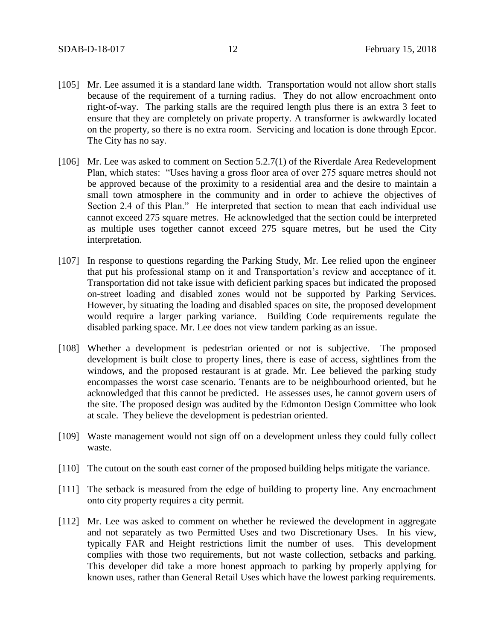- [105] Mr. Lee assumed it is a standard lane width. Transportation would not allow short stalls because of the requirement of a turning radius. They do not allow encroachment onto right-of-way. The parking stalls are the required length plus there is an extra 3 feet to ensure that they are completely on private property. A transformer is awkwardly located on the property, so there is no extra room. Servicing and location is done through Epcor. The City has no say.
- [106] Mr. Lee was asked to comment on Section 5.2.7(1) of the Riverdale Area Redevelopment Plan, which states: "Uses having a gross floor area of over 275 square metres should not be approved because of the proximity to a residential area and the desire to maintain a small town atmosphere in the community and in order to achieve the objectives of Section 2.4 of this Plan." He interpreted that section to mean that each individual use cannot exceed 275 square metres. He acknowledged that the section could be interpreted as multiple uses together cannot exceed 275 square metres, but he used the City interpretation.
- [107] In response to questions regarding the Parking Study, Mr. Lee relied upon the engineer that put his professional stamp on it and Transportation's review and acceptance of it. Transportation did not take issue with deficient parking spaces but indicated the proposed on-street loading and disabled zones would not be supported by Parking Services. However, by situating the loading and disabled spaces on site, the proposed development would require a larger parking variance. Building Code requirements regulate the disabled parking space. Mr. Lee does not view tandem parking as an issue.
- [108] Whether a development is pedestrian oriented or not is subjective. The proposed development is built close to property lines, there is ease of access, sightlines from the windows, and the proposed restaurant is at grade. Mr. Lee believed the parking study encompasses the worst case scenario. Tenants are to be neighbourhood oriented, but he acknowledged that this cannot be predicted. He assesses uses, he cannot govern users of the site. The proposed design was audited by the Edmonton Design Committee who look at scale. They believe the development is pedestrian oriented.
- [109] Waste management would not sign off on a development unless they could fully collect waste.
- [110] The cutout on the south east corner of the proposed building helps mitigate the variance.
- [111] The setback is measured from the edge of building to property line. Any encroachment onto city property requires a city permit.
- [112] Mr. Lee was asked to comment on whether he reviewed the development in aggregate and not separately as two Permitted Uses and two Discretionary Uses. In his view, typically FAR and Height restrictions limit the number of uses. This development complies with those two requirements, but not waste collection, setbacks and parking. This developer did take a more honest approach to parking by properly applying for known uses, rather than General Retail Uses which have the lowest parking requirements.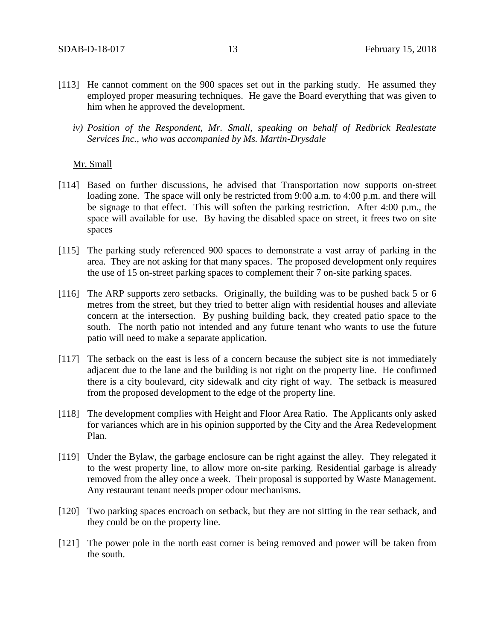- [113] He cannot comment on the 900 spaces set out in the parking study. He assumed they employed proper measuring techniques. He gave the Board everything that was given to him when he approved the development.
	- *iv) Position of the Respondent, Mr. Small, speaking on behalf of Redbrick Realestate Services Inc., who was accompanied by Ms. Martin-Drysdale*

## Mr. Small

- [114] Based on further discussions, he advised that Transportation now supports on-street loading zone. The space will only be restricted from 9:00 a.m. to 4:00 p.m. and there will be signage to that effect. This will soften the parking restriction. After 4:00 p.m., the space will available for use. By having the disabled space on street, it frees two on site spaces
- [115] The parking study referenced 900 spaces to demonstrate a vast array of parking in the area. They are not asking for that many spaces. The proposed development only requires the use of 15 on-street parking spaces to complement their 7 on-site parking spaces.
- [116] The ARP supports zero setbacks. Originally, the building was to be pushed back 5 or 6 metres from the street, but they tried to better align with residential houses and alleviate concern at the intersection. By pushing building back, they created patio space to the south. The north patio not intended and any future tenant who wants to use the future patio will need to make a separate application.
- [117] The setback on the east is less of a concern because the subject site is not immediately adjacent due to the lane and the building is not right on the property line. He confirmed there is a city boulevard, city sidewalk and city right of way. The setback is measured from the proposed development to the edge of the property line.
- [118] The development complies with Height and Floor Area Ratio. The Applicants only asked for variances which are in his opinion supported by the City and the Area Redevelopment Plan.
- [119] Under the Bylaw, the garbage enclosure can be right against the alley. They relegated it to the west property line, to allow more on-site parking. Residential garbage is already removed from the alley once a week. Their proposal is supported by Waste Management. Any restaurant tenant needs proper odour mechanisms.
- [120] Two parking spaces encroach on setback, but they are not sitting in the rear setback, and they could be on the property line.
- [121] The power pole in the north east corner is being removed and power will be taken from the south.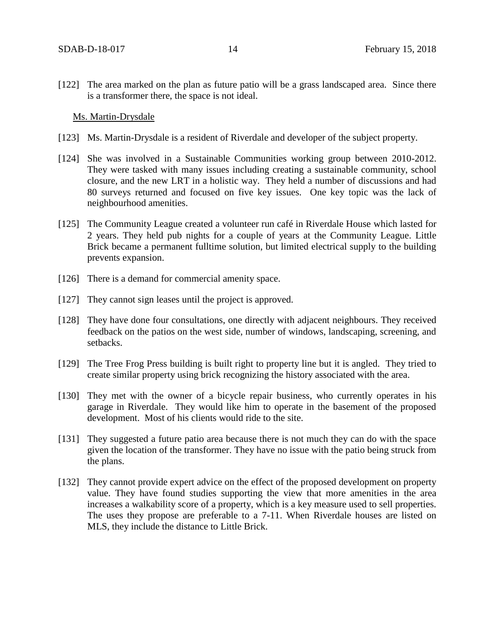[122] The area marked on the plan as future patio will be a grass landscaped area. Since there is a transformer there, the space is not ideal.

## Ms. Martin-Drysdale

- [123] Ms. Martin-Drysdale is a resident of Riverdale and developer of the subject property.
- [124] She was involved in a Sustainable Communities working group between 2010-2012. They were tasked with many issues including creating a sustainable community, school closure, and the new LRT in a holistic way. They held a number of discussions and had 80 surveys returned and focused on five key issues. One key topic was the lack of neighbourhood amenities.
- [125] The Community League created a volunteer run café in Riverdale House which lasted for 2 years. They held pub nights for a couple of years at the Community League. Little Brick became a permanent fulltime solution, but limited electrical supply to the building prevents expansion.
- [126] There is a demand for commercial amenity space.
- [127] They cannot sign leases until the project is approved.
- [128] They have done four consultations, one directly with adjacent neighbours. They received feedback on the patios on the west side, number of windows, landscaping, screening, and setbacks.
- [129] The Tree Frog Press building is built right to property line but it is angled. They tried to create similar property using brick recognizing the history associated with the area.
- [130] They met with the owner of a bicycle repair business, who currently operates in his garage in Riverdale. They would like him to operate in the basement of the proposed development. Most of his clients would ride to the site.
- [131] They suggested a future patio area because there is not much they can do with the space given the location of the transformer. They have no issue with the patio being struck from the plans.
- [132] They cannot provide expert advice on the effect of the proposed development on property value. They have found studies supporting the view that more amenities in the area increases a walkability score of a property, which is a key measure used to sell properties. The uses they propose are preferable to a 7-11. When Riverdale houses are listed on MLS, they include the distance to Little Brick.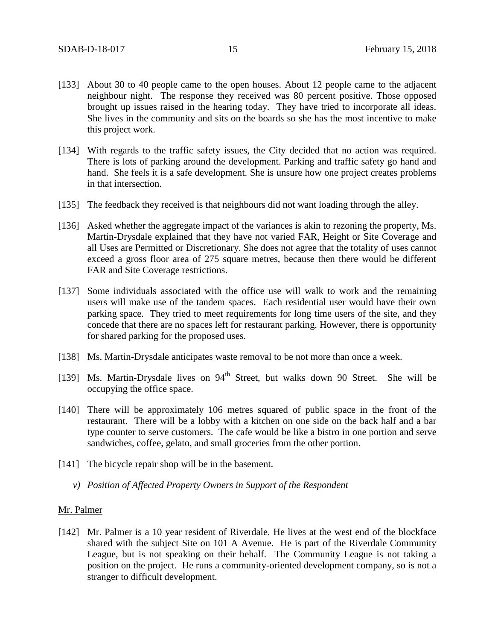- [133] About 30 to 40 people came to the open houses. About 12 people came to the adjacent neighbour night. The response they received was 80 percent positive. Those opposed brought up issues raised in the hearing today. They have tried to incorporate all ideas. She lives in the community and sits on the boards so she has the most incentive to make this project work.
- [134] With regards to the traffic safety issues, the City decided that no action was required. There is lots of parking around the development. Parking and traffic safety go hand and hand. She feels it is a safe development. She is unsure how one project creates problems in that intersection.
- [135] The feedback they received is that neighbours did not want loading through the alley.
- [136] Asked whether the aggregate impact of the variances is akin to rezoning the property, Ms. Martin-Drysdale explained that they have not varied FAR, Height or Site Coverage and all Uses are Permitted or Discretionary. She does not agree that the totality of uses cannot exceed a gross floor area of 275 square metres, because then there would be different FAR and Site Coverage restrictions.
- [137] Some individuals associated with the office use will walk to work and the remaining users will make use of the tandem spaces. Each residential user would have their own parking space. They tried to meet requirements for long time users of the site, and they concede that there are no spaces left for restaurant parking. However, there is opportunity for shared parking for the proposed uses.
- [138] Ms. Martin-Drysdale anticipates waste removal to be not more than once a week.
- [139] Ms. Martin-Drysdale lives on  $94<sup>th</sup>$  Street, but walks down 90 Street. She will be occupying the office space.
- [140] There will be approximately 106 metres squared of public space in the front of the restaurant. There will be a lobby with a kitchen on one side on the back half and a bar type counter to serve customers. The cafe would be like a bistro in one portion and serve sandwiches, coffee, gelato, and small groceries from the other portion.
- [141] The bicycle repair shop will be in the basement.
	- *v) Position of Affected Property Owners in Support of the Respondent*

### Mr. Palmer

[142] Mr. Palmer is a 10 year resident of Riverdale. He lives at the west end of the blockface shared with the subject Site on 101 A Avenue. He is part of the Riverdale Community League, but is not speaking on their behalf. The Community League is not taking a position on the project. He runs a community-oriented development company, so is not a stranger to difficult development.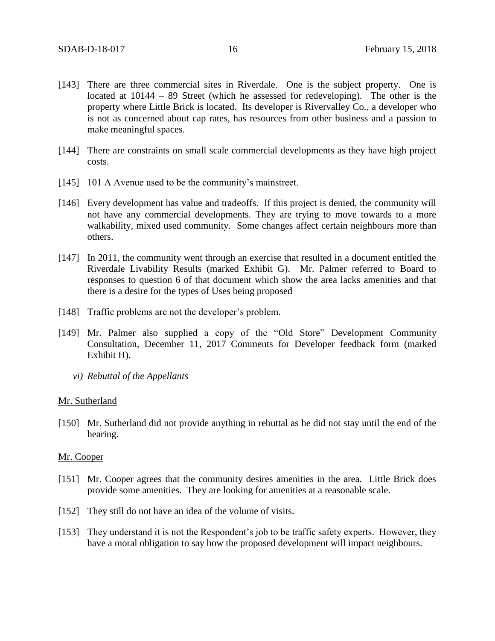- [143] There are three commercial sites in Riverdale. One is the subject property. One is located at 10144 – 89 Street (which he assessed for redeveloping). The other is the property where Little Brick is located. Its developer is Rivervalley Co., a developer who is not as concerned about cap rates, has resources from other business and a passion to make meaningful spaces.
- [144] There are constraints on small scale commercial developments as they have high project costs.
- [145] 101 A Avenue used to be the community's mainstreet.
- [146] Every development has value and tradeoffs. If this project is denied, the community will not have any commercial developments. They are trying to move towards to a more walkability, mixed used community. Some changes affect certain neighbours more than others.
- [147] In 2011, the community went through an exercise that resulted in a document entitled the Riverdale Livability Results (marked Exhibit G). Mr. Palmer referred to Board to responses to question 6 of that document which show the area lacks amenities and that there is a desire for the types of Uses being proposed
- [148] Traffic problems are not the developer's problem.
- [149] Mr. Palmer also supplied a copy of the "Old Store" Development Community Consultation, December 11, 2017 Comments for Developer feedback form (marked Exhibit H).
	- *vi) Rebuttal of the Appellants*

#### Mr. Sutherland

[150] Mr. Sutherland did not provide anything in rebuttal as he did not stay until the end of the hearing.

#### Mr. Cooper

- [151] Mr. Cooper agrees that the community desires amenities in the area. Little Brick does provide some amenities. They are looking for amenities at a reasonable scale.
- [152] They still do not have an idea of the volume of visits.
- [153] They understand it is not the Respondent's job to be traffic safety experts. However, they have a moral obligation to say how the proposed development will impact neighbours.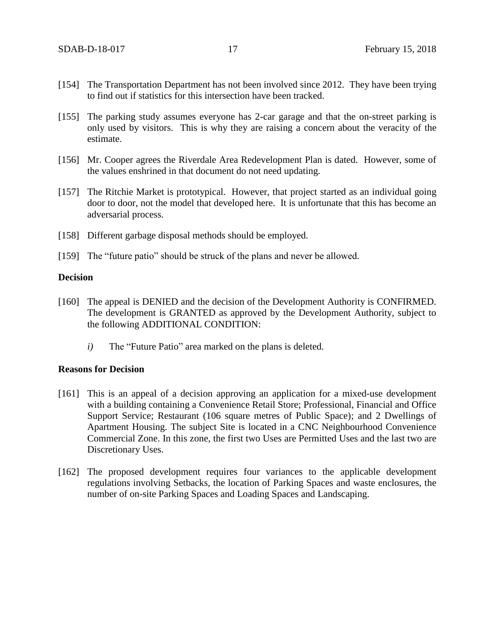- [154] The Transportation Department has not been involved since 2012. They have been trying to find out if statistics for this intersection have been tracked.
- [155] The parking study assumes everyone has 2-car garage and that the on-street parking is only used by visitors. This is why they are raising a concern about the veracity of the estimate.
- [156] Mr. Cooper agrees the Riverdale Area Redevelopment Plan is dated. However, some of the values enshrined in that document do not need updating.
- [157] The Ritchie Market is prototypical. However, that project started as an individual going door to door, not the model that developed here. It is unfortunate that this has become an adversarial process.
- [158] Different garbage disposal methods should be employed.
- [159] The "future patio" should be struck of the plans and never be allowed.

## **Decision**

- [160] The appeal is DENIED and the decision of the Development Authority is CONFIRMED. The development is GRANTED as approved by the Development Authority, subject to the following ADDITIONAL CONDITION:
	- *i)* The "Future Patio" area marked on the plans is deleted.

## **Reasons for Decision**

- [161] This is an appeal of a decision approving an application for a mixed-use development with a building containing a Convenience Retail Store; Professional, Financial and Office Support Service; Restaurant (106 square metres of Public Space); and 2 Dwellings of Apartment Housing. The subject Site is located in a CNC Neighbourhood Convenience Commercial Zone. In this zone, the first two Uses are Permitted Uses and the last two are Discretionary Uses.
- [162] The proposed development requires four variances to the applicable development regulations involving Setbacks, the location of Parking Spaces and waste enclosures, the number of on-site Parking Spaces and Loading Spaces and Landscaping.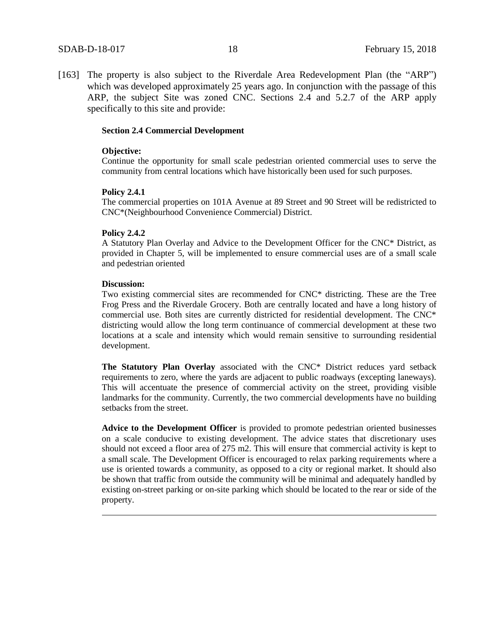[163] The property is also subject to the Riverdale Area Redevelopment Plan (the "ARP") which was developed approximately 25 years ago. In conjunction with the passage of this ARP, the subject Site was zoned CNC. Sections 2.4 and 5.2.7 of the ARP apply specifically to this site and provide:

#### **Section 2.4 Commercial Development**

#### **Objective:**

Continue the opportunity for small scale pedestrian oriented commercial uses to serve the community from central locations which have historically been used for such purposes.

#### **Policy 2.4.1**

The commercial properties on 101A Avenue at 89 Street and 90 Street will be redistricted to CNC\*(Neighbourhood Convenience Commercial) District.

#### **Policy 2.4.2**

A Statutory Plan Overlay and Advice to the Development Officer for the CNC\* District, as provided in Chapter 5, will be implemented to ensure commercial uses are of a small scale and pedestrian oriented

#### **Discussion:**

Two existing commercial sites are recommended for CNC\* districting. These are the Tree Frog Press and the Riverdale Grocery. Both are centrally located and have a long history of commercial use. Both sites are currently districted for residential development. The CNC\* districting would allow the long term continuance of commercial development at these two locations at a scale and intensity which would remain sensitive to surrounding residential development.

**The Statutory Plan Overlay** associated with the CNC\* District reduces yard setback requirements to zero, where the yards are adjacent to public roadways (excepting laneways). This will accentuate the presence of commercial activity on the street, providing visible landmarks for the community. Currently, the two commercial developments have no building setbacks from the street.

**Advice to the Development Officer** is provided to promote pedestrian oriented businesses on a scale conducive to existing development. The advice states that discretionary uses should not exceed a floor area of 275 m2. This will ensure that commercial activity is kept to a small scale. The Development Officer is encouraged to relax parking requirements where a use is oriented towards a community, as opposed to a city or regional market. It should also be shown that traffic from outside the community will be minimal and adequately handled by existing on-street parking or on-site parking which should be located to the rear or side of the property.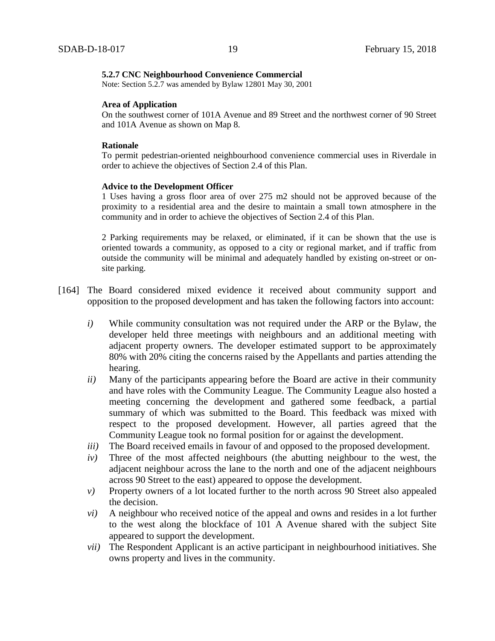#### **5.2.7 CNC Neighbourhood Convenience Commercial**

Note: Section 5.2.7 was amended by Bylaw 12801 May 30, 2001

#### **Area of Application**

On the southwest corner of 101A Avenue and 89 Street and the northwest corner of 90 Street and 101A Avenue as shown on Map 8.

### **Rationale**

To permit pedestrian-oriented neighbourhood convenience commercial uses in Riverdale in order to achieve the objectives of Section 2.4 of this Plan.

### **Advice to the Development Officer**

1 Uses having a gross floor area of over 275 m2 should not be approved because of the proximity to a residential area and the desire to maintain a small town atmosphere in the community and in order to achieve the objectives of Section 2.4 of this Plan.

2 Parking requirements may be relaxed, or eliminated, if it can be shown that the use is oriented towards a community, as opposed to a city or regional market, and if traffic from outside the community will be minimal and adequately handled by existing on-street or onsite parking.

- [164] The Board considered mixed evidence it received about community support and opposition to the proposed development and has taken the following factors into account:
	- *i)* While community consultation was not required under the ARP or the Bylaw, the developer held three meetings with neighbours and an additional meeting with adjacent property owners. The developer estimated support to be approximately 80% with 20% citing the concerns raised by the Appellants and parties attending the hearing.
	- *ii)* Many of the participants appearing before the Board are active in their community and have roles with the Community League. The Community League also hosted a meeting concerning the development and gathered some feedback, a partial summary of which was submitted to the Board. This feedback was mixed with respect to the proposed development. However, all parties agreed that the Community League took no formal position for or against the development.
	- *iii*) The Board received emails in favour of and opposed to the proposed development.
	- *iv)* Three of the most affected neighbours (the abutting neighbour to the west, the adjacent neighbour across the lane to the north and one of the adjacent neighbours across 90 Street to the east) appeared to oppose the development.
	- *v)* Property owners of a lot located further to the north across 90 Street also appealed the decision.
	- *vi)* A neighbour who received notice of the appeal and owns and resides in a lot further to the west along the blockface of 101 A Avenue shared with the subject Site appeared to support the development.
	- *vii)* The Respondent Applicant is an active participant in neighbourhood initiatives. She owns property and lives in the community.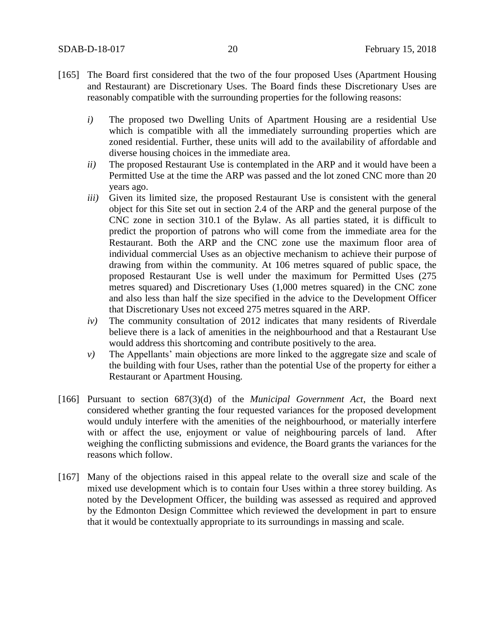- [165] The Board first considered that the two of the four proposed Uses (Apartment Housing and Restaurant) are Discretionary Uses. The Board finds these Discretionary Uses are reasonably compatible with the surrounding properties for the following reasons:
	- *i)* The proposed two Dwelling Units of Apartment Housing are a residential Use which is compatible with all the immediately surrounding properties which are zoned residential. Further, these units will add to the availability of affordable and diverse housing choices in the immediate area.
	- *ii)* The proposed Restaurant Use is contemplated in the ARP and it would have been a Permitted Use at the time the ARP was passed and the lot zoned CNC more than 20 years ago.
	- *iii)* Given its limited size, the proposed Restaurant Use is consistent with the general object for this Site set out in section 2.4 of the ARP and the general purpose of the CNC zone in section 310.1 of the Bylaw. As all parties stated, it is difficult to predict the proportion of patrons who will come from the immediate area for the Restaurant. Both the ARP and the CNC zone use the maximum floor area of individual commercial Uses as an objective mechanism to achieve their purpose of drawing from within the community. At 106 metres squared of public space, the proposed Restaurant Use is well under the maximum for Permitted Uses (275 metres squared) and Discretionary Uses (1,000 metres squared) in the CNC zone and also less than half the size specified in the advice to the Development Officer that Discretionary Uses not exceed 275 metres squared in the ARP.
	- *iv)* The community consultation of 2012 indicates that many residents of Riverdale believe there is a lack of amenities in the neighbourhood and that a Restaurant Use would address this shortcoming and contribute positively to the area.
	- *v)* The Appellants' main objections are more linked to the aggregate size and scale of the building with four Uses, rather than the potential Use of the property for either a Restaurant or Apartment Housing.
- [166] Pursuant to section 687(3)(d) of the *Municipal Government Act*, the Board next considered whether granting the four requested variances for the proposed development would unduly interfere with the amenities of the neighbourhood, or materially interfere with or affect the use, enjoyment or value of neighbouring parcels of land. After weighing the conflicting submissions and evidence, the Board grants the variances for the reasons which follow.
- [167] Many of the objections raised in this appeal relate to the overall size and scale of the mixed use development which is to contain four Uses within a three storey building. As noted by the Development Officer, the building was assessed as required and approved by the Edmonton Design Committee which reviewed the development in part to ensure that it would be contextually appropriate to its surroundings in massing and scale.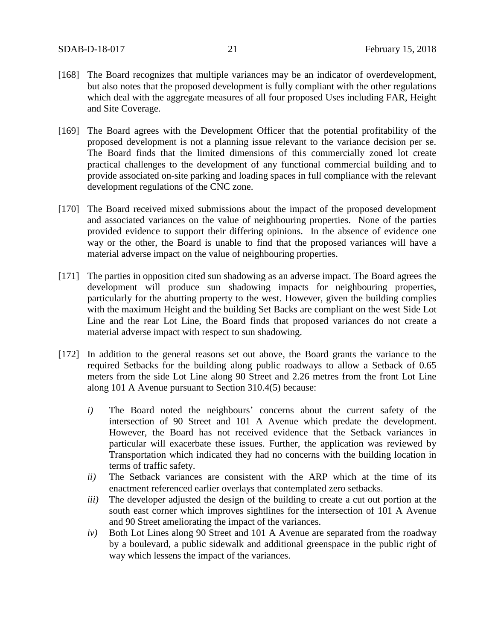- [168] The Board recognizes that multiple variances may be an indicator of overdevelopment, but also notes that the proposed development is fully compliant with the other regulations which deal with the aggregate measures of all four proposed Uses including FAR, Height and Site Coverage.
- [169] The Board agrees with the Development Officer that the potential profitability of the proposed development is not a planning issue relevant to the variance decision per se. The Board finds that the limited dimensions of this commercially zoned lot create practical challenges to the development of any functional commercial building and to provide associated on-site parking and loading spaces in full compliance with the relevant development regulations of the CNC zone.
- [170] The Board received mixed submissions about the impact of the proposed development and associated variances on the value of neighbouring properties. None of the parties provided evidence to support their differing opinions. In the absence of evidence one way or the other, the Board is unable to find that the proposed variances will have a material adverse impact on the value of neighbouring properties.
- [171] The parties in opposition cited sun shadowing as an adverse impact. The Board agrees the development will produce sun shadowing impacts for neighbouring properties, particularly for the abutting property to the west. However, given the building complies with the maximum Height and the building Set Backs are compliant on the west Side Lot Line and the rear Lot Line, the Board finds that proposed variances do not create a material adverse impact with respect to sun shadowing.
- [172] In addition to the general reasons set out above, the Board grants the variance to the required Setbacks for the building along public roadways to allow a Setback of 0.65 meters from the side Lot Line along 90 Street and 2.26 metres from the front Lot Line along 101 A Avenue pursuant to Section 310.4(5) because:
	- *i)* The Board noted the neighbours' concerns about the current safety of the intersection of 90 Street and 101 A Avenue which predate the development. However, the Board has not received evidence that the Setback variances in particular will exacerbate these issues. Further, the application was reviewed by Transportation which indicated they had no concerns with the building location in terms of traffic safety.
	- *ii)* The Setback variances are consistent with the ARP which at the time of its enactment referenced earlier overlays that contemplated zero setbacks.
	- *iii)* The developer adjusted the design of the building to create a cut out portion at the south east corner which improves sightlines for the intersection of 101 A Avenue and 90 Street ameliorating the impact of the variances.
	- *iv)* Both Lot Lines along 90 Street and 101 A Avenue are separated from the roadway by a boulevard, a public sidewalk and additional greenspace in the public right of way which lessens the impact of the variances.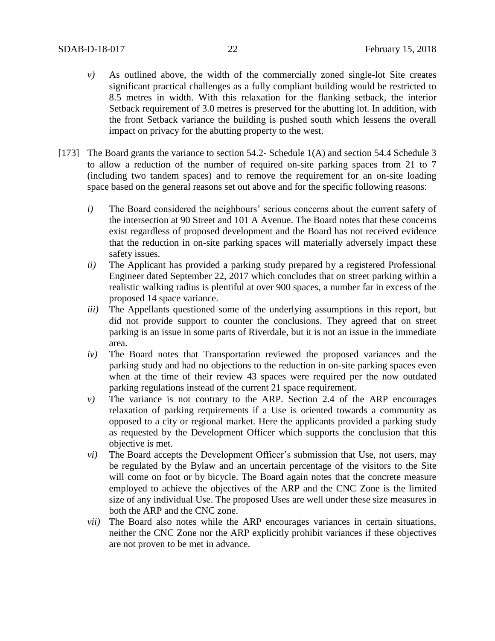- *v)* As outlined above, the width of the commercially zoned single-lot Site creates significant practical challenges as a fully compliant building would be restricted to 8.5 metres in width. With this relaxation for the flanking setback, the interior Setback requirement of 3.0 metres is preserved for the abutting lot. In addition, with the front Setback variance the building is pushed south which lessens the overall impact on privacy for the abutting property to the west.
- [173] The Board grants the variance to section 54.2- Schedule 1(A) and section 54.4 Schedule 3 to allow a reduction of the number of required on-site parking spaces from 21 to 7 (including two tandem spaces) and to remove the requirement for an on-site loading space based on the general reasons set out above and for the specific following reasons:
	- *i)* The Board considered the neighbours' serious concerns about the current safety of the intersection at 90 Street and 101 A Avenue. The Board notes that these concerns exist regardless of proposed development and the Board has not received evidence that the reduction in on-site parking spaces will materially adversely impact these safety issues.
	- *ii)* The Applicant has provided a parking study prepared by a registered Professional Engineer dated September 22, 2017 which concludes that on street parking within a realistic walking radius is plentiful at over 900 spaces, a number far in excess of the proposed 14 space variance.
	- *iii)* The Appellants questioned some of the underlying assumptions in this report, but did not provide support to counter the conclusions. They agreed that on street parking is an issue in some parts of Riverdale, but it is not an issue in the immediate area.
	- *iv)* The Board notes that Transportation reviewed the proposed variances and the parking study and had no objections to the reduction in on-site parking spaces even when at the time of their review 43 spaces were required per the now outdated parking regulations instead of the current 21 space requirement.
	- *v)* The variance is not contrary to the ARP. Section 2.4 of the ARP encourages relaxation of parking requirements if a Use is oriented towards a community as opposed to a city or regional market. Here the applicants provided a parking study as requested by the Development Officer which supports the conclusion that this objective is met.
	- *vi)* The Board accepts the Development Officer's submission that Use, not users, may be regulated by the Bylaw and an uncertain percentage of the visitors to the Site will come on foot or by bicycle. The Board again notes that the concrete measure employed to achieve the objectives of the ARP and the CNC Zone is the limited size of any individual Use. The proposed Uses are well under these size measures in both the ARP and the CNC zone.
	- *vii)* The Board also notes while the ARP encourages variances in certain situations, neither the CNC Zone nor the ARP explicitly prohibit variances if these objectives are not proven to be met in advance.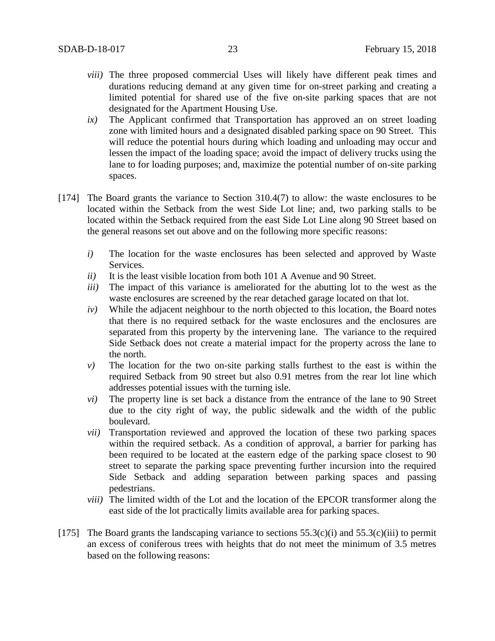- *viii)* The three proposed commercial Uses will likely have different peak times and durations reducing demand at any given time for on-street parking and creating a limited potential for shared use of the five on-site parking spaces that are not designated for the Apartment Housing Use.
- *ix)* The Applicant confirmed that Transportation has approved an on street loading zone with limited hours and a designated disabled parking space on 90 Street. This will reduce the potential hours during which loading and unloading may occur and lessen the impact of the loading space; avoid the impact of delivery trucks using the lane to for loading purposes; and, maximize the potential number of on-site parking spaces.
- [174] The Board grants the variance to Section 310.4(7) to allow: the waste enclosures to be located within the Setback from the west Side Lot line; and, two parking stalls to be located within the Setback required from the east Side Lot Line along 90 Street based on the general reasons set out above and on the following more specific reasons:
	- *i)* The location for the waste enclosures has been selected and approved by Waste Services.
	- *ii)* It is the least visible location from both 101 A Avenue and 90 Street.
	- *iii)* The impact of this variance is ameliorated for the abutting lot to the west as the waste enclosures are screened by the rear detached garage located on that lot.
	- *iv)* While the adjacent neighbour to the north objected to this location, the Board notes that there is no required setback for the waste enclosures and the enclosures are separated from this property by the intervening lane. The variance to the required Side Setback does not create a material impact for the property across the lane to the north.
	- *v)* The location for the two on-site parking stalls furthest to the east is within the required Setback from 90 street but also 0.91 metres from the rear lot line which addresses potential issues with the turning isle.
	- *vi)* The property line is set back a distance from the entrance of the lane to 90 Street due to the city right of way, the public sidewalk and the width of the public boulevard.
	- *vii)* Transportation reviewed and approved the location of these two parking spaces within the required setback. As a condition of approval, a barrier for parking has been required to be located at the eastern edge of the parking space closest to 90 street to separate the parking space preventing further incursion into the required Side Setback and adding separation between parking spaces and passing pedestrians.
	- *viii)* The limited width of the Lot and the location of the EPCOR transformer along the east side of the lot practically limits available area for parking spaces.
- [175] The Board grants the landscaping variance to sections  $55.3(c)(i)$  and  $55.3(c)(iii)$  to permit an excess of coniferous trees with heights that do not meet the minimum of 3.5 metres based on the following reasons: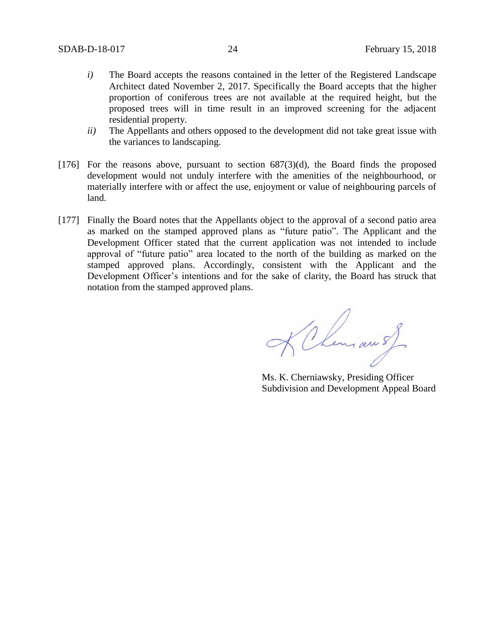- *i)* The Board accepts the reasons contained in the letter of the Registered Landscape Architect dated November 2, 2017. Specifically the Board accepts that the higher proportion of coniferous trees are not available at the required height, but the proposed trees will in time result in an improved screening for the adjacent residential property.
- *ii)* The Appellants and others opposed to the development did not take great issue with the variances to landscaping.
- [176] For the reasons above, pursuant to section  $687(3)(d)$ , the Board finds the proposed development would not unduly interfere with the amenities of the neighbourhood, or materially interfere with or affect the use, enjoyment or value of neighbouring parcels of land.
- [177] Finally the Board notes that the Appellants object to the approval of a second patio area as marked on the stamped approved plans as "future patio". The Applicant and the Development Officer stated that the current application was not intended to include approval of "future patio" area located to the north of the building as marked on the stamped approved plans. Accordingly, consistent with the Applicant and the Development Officer's intentions and for the sake of clarity, the Board has struck that notation from the stamped approved plans.

K Chemian sf

Ms. K. Cherniawsky, Presiding Officer Subdivision and Development Appeal Board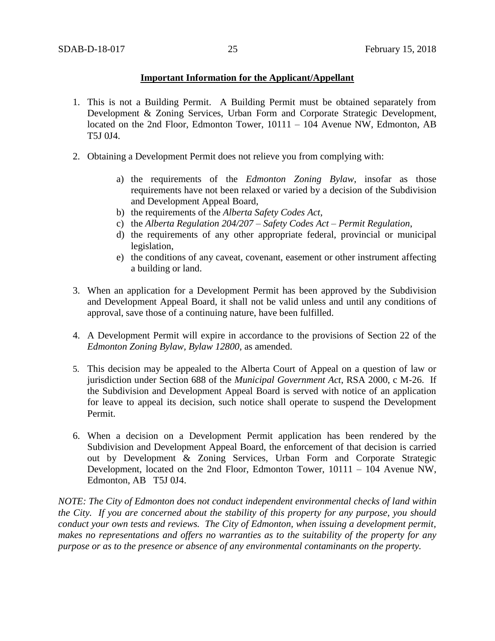## **Important Information for the Applicant/Appellant**

- 1. This is not a Building Permit. A Building Permit must be obtained separately from Development & Zoning Services, Urban Form and Corporate Strategic Development, located on the 2nd Floor, Edmonton Tower, 10111 – 104 Avenue NW, Edmonton, AB T5J 0J4.
- 2. Obtaining a Development Permit does not relieve you from complying with:
	- a) the requirements of the *Edmonton Zoning Bylaw*, insofar as those requirements have not been relaxed or varied by a decision of the Subdivision and Development Appeal Board,
	- b) the requirements of the *Alberta Safety Codes Act*,
	- c) the *Alberta Regulation 204/207 – Safety Codes Act – Permit Regulation*,
	- d) the requirements of any other appropriate federal, provincial or municipal legislation,
	- e) the conditions of any caveat, covenant, easement or other instrument affecting a building or land.
- 3. When an application for a Development Permit has been approved by the Subdivision and Development Appeal Board, it shall not be valid unless and until any conditions of approval, save those of a continuing nature, have been fulfilled.
- 4. A Development Permit will expire in accordance to the provisions of Section 22 of the *Edmonton Zoning Bylaw, Bylaw 12800*, as amended.
- 5. This decision may be appealed to the Alberta Court of Appeal on a question of law or jurisdiction under Section 688 of the *Municipal Government Act*, RSA 2000, c M-26. If the Subdivision and Development Appeal Board is served with notice of an application for leave to appeal its decision, such notice shall operate to suspend the Development Permit.
- 6. When a decision on a Development Permit application has been rendered by the Subdivision and Development Appeal Board, the enforcement of that decision is carried out by Development & Zoning Services, Urban Form and Corporate Strategic Development, located on the 2nd Floor, Edmonton Tower, 10111 – 104 Avenue NW, Edmonton, AB T5J 0J4.

*NOTE: The City of Edmonton does not conduct independent environmental checks of land within the City. If you are concerned about the stability of this property for any purpose, you should conduct your own tests and reviews. The City of Edmonton, when issuing a development permit, makes no representations and offers no warranties as to the suitability of the property for any purpose or as to the presence or absence of any environmental contaminants on the property.*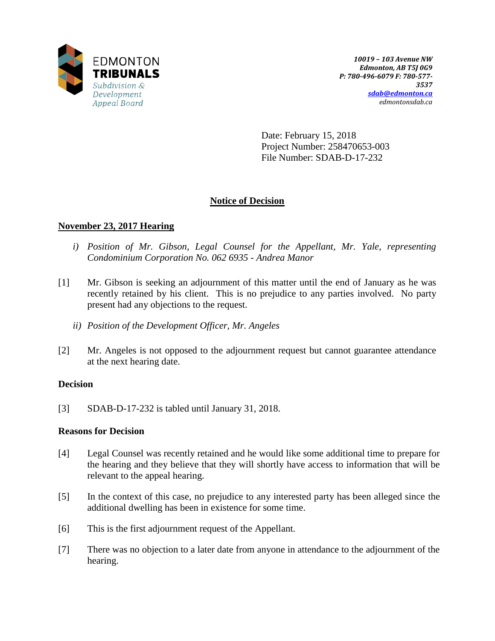

Date: February 15, 2018 Project Number: 258470653-003 File Number: SDAB-D-17-232

# **Notice of Decision**

# **November 23, 2017 Hearing**

- *i) Position of Mr. Gibson, Legal Counsel for the Appellant, Mr. Yale, representing Condominium Corporation No. 062 6935 - Andrea Manor*
- [1] Mr. Gibson is seeking an adjournment of this matter until the end of January as he was recently retained by his client. This is no prejudice to any parties involved. No party present had any objections to the request.
	- *ii) Position of the Development Officer, Mr. Angeles*
- [2] Mr. Angeles is not opposed to the adjournment request but cannot guarantee attendance at the next hearing date.

## **Decision**

[3] SDAB-D-17-232 is tabled until January 31, 2018.

## **Reasons for Decision**

- [4] Legal Counsel was recently retained and he would like some additional time to prepare for the hearing and they believe that they will shortly have access to information that will be relevant to the appeal hearing.
- [5] In the context of this case, no prejudice to any interested party has been alleged since the additional dwelling has been in existence for some time.
- [6] This is the first adjournment request of the Appellant.
- [7] There was no objection to a later date from anyone in attendance to the adjournment of the hearing.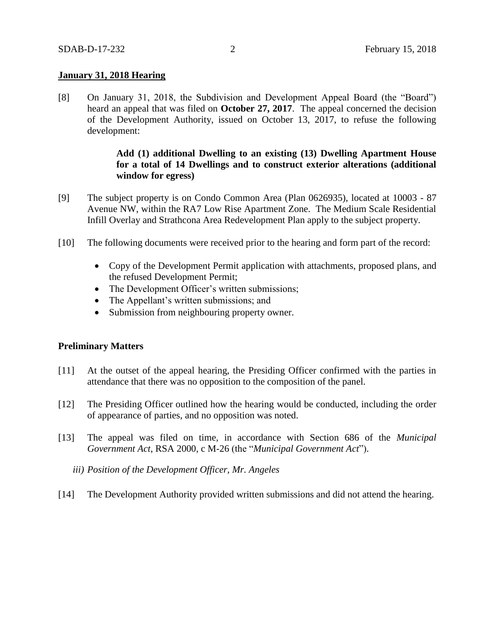## **January 31, 2018 Hearing**

[8] On January 31, 2018, the Subdivision and Development Appeal Board (the "Board") heard an appeal that was filed on **October 27, 2017**. The appeal concerned the decision of the Development Authority, issued on October 13, 2017, to refuse the following development:

## **Add (1) additional Dwelling to an existing (13) Dwelling Apartment House for a total of 14 Dwellings and to construct exterior alterations (additional window for egress)**

- [9] The subject property is on Condo Common Area (Plan 0626935), located at 10003 87 Avenue NW, within the RA7 Low Rise Apartment Zone. The Medium Scale Residential Infill Overlay and Strathcona Area Redevelopment Plan apply to the subject property.
- [10] The following documents were received prior to the hearing and form part of the record:
	- Copy of the Development Permit application with attachments, proposed plans, and the refused Development Permit;
	- The Development Officer's written submissions;
	- The Appellant's written submissions; and
	- Submission from neighbouring property owner.

## **Preliminary Matters**

- [11] At the outset of the appeal hearing, the Presiding Officer confirmed with the parties in attendance that there was no opposition to the composition of the panel.
- [12] The Presiding Officer outlined how the hearing would be conducted, including the order of appearance of parties, and no opposition was noted.
- [13] The appeal was filed on time, in accordance with Section 686 of the *Municipal Government Act*, RSA 2000, c M-26 (the "*Municipal Government Act*").
	- *iii) Position of the Development Officer, Mr. Angeles*
- [14] The Development Authority provided written submissions and did not attend the hearing.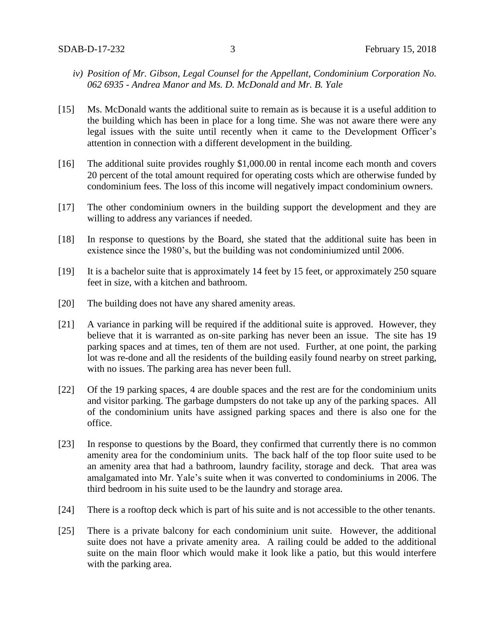- *iv) Position of Mr. Gibson, Legal Counsel for the Appellant, Condominium Corporation No. 062 6935 - Andrea Manor and Ms. D. McDonald and Mr. B. Yale*
- [15] Ms. McDonald wants the additional suite to remain as is because it is a useful addition to the building which has been in place for a long time. She was not aware there were any legal issues with the suite until recently when it came to the Development Officer's attention in connection with a different development in the building.
- [16] The additional suite provides roughly \$1,000.00 in rental income each month and covers 20 percent of the total amount required for operating costs which are otherwise funded by condominium fees. The loss of this income will negatively impact condominium owners.
- [17] The other condominium owners in the building support the development and they are willing to address any variances if needed.
- [18] In response to questions by the Board, she stated that the additional suite has been in existence since the 1980's, but the building was not condominiumized until 2006.
- [19] It is a bachelor suite that is approximately 14 feet by 15 feet, or approximately 250 square feet in size, with a kitchen and bathroom.
- [20] The building does not have any shared amenity areas.
- [21] A variance in parking will be required if the additional suite is approved. However, they believe that it is warranted as on-site parking has never been an issue. The site has 19 parking spaces and at times, ten of them are not used. Further, at one point, the parking lot was re-done and all the residents of the building easily found nearby on street parking, with no issues. The parking area has never been full.
- [22] Of the 19 parking spaces, 4 are double spaces and the rest are for the condominium units and visitor parking. The garbage dumpsters do not take up any of the parking spaces. All of the condominium units have assigned parking spaces and there is also one for the office.
- [23] In response to questions by the Board, they confirmed that currently there is no common amenity area for the condominium units. The back half of the top floor suite used to be an amenity area that had a bathroom, laundry facility, storage and deck. That area was amalgamated into Mr. Yale's suite when it was converted to condominiums in 2006. The third bedroom in his suite used to be the laundry and storage area.
- [24] There is a rooftop deck which is part of his suite and is not accessible to the other tenants.
- [25] There is a private balcony for each condominium unit suite. However, the additional suite does not have a private amenity area. A railing could be added to the additional suite on the main floor which would make it look like a patio, but this would interfere with the parking area.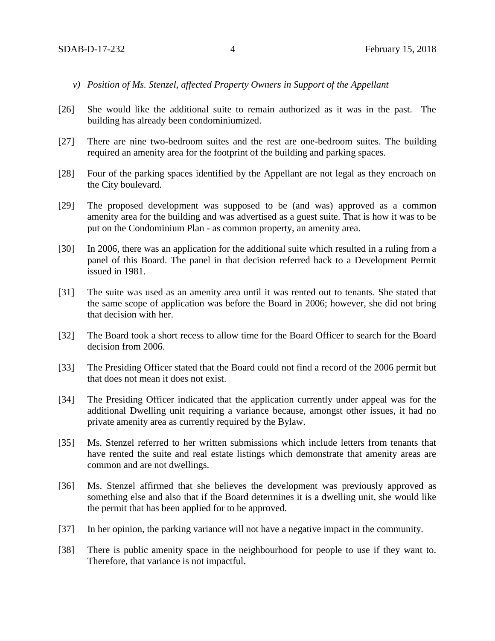- *v) Position of Ms. Stenzel, affected Property Owners in Support of the Appellant*
- [26] She would like the additional suite to remain authorized as it was in the past. The building has already been condominiumized.
- [27] There are nine two-bedroom suites and the rest are one-bedroom suites. The building required an amenity area for the footprint of the building and parking spaces.
- [28] Four of the parking spaces identified by the Appellant are not legal as they encroach on the City boulevard.
- [29] The proposed development was supposed to be (and was) approved as a common amenity area for the building and was advertised as a guest suite. That is how it was to be put on the Condominium Plan - as common property, an amenity area.
- [30] In 2006, there was an application for the additional suite which resulted in a ruling from a panel of this Board. The panel in that decision referred back to a Development Permit issued in 1981.
- [31] The suite was used as an amenity area until it was rented out to tenants. She stated that the same scope of application was before the Board in 2006; however, she did not bring that decision with her.
- [32] The Board took a short recess to allow time for the Board Officer to search for the Board decision from 2006.
- [33] The Presiding Officer stated that the Board could not find a record of the 2006 permit but that does not mean it does not exist.
- [34] The Presiding Officer indicated that the application currently under appeal was for the additional Dwelling unit requiring a variance because, amongst other issues, it had no private amenity area as currently required by the Bylaw.
- [35] Ms. Stenzel referred to her written submissions which include letters from tenants that have rented the suite and real estate listings which demonstrate that amenity areas are common and are not dwellings.
- [36] Ms. Stenzel affirmed that she believes the development was previously approved as something else and also that if the Board determines it is a dwelling unit, she would like the permit that has been applied for to be approved.
- [37] In her opinion, the parking variance will not have a negative impact in the community.
- [38] There is public amenity space in the neighbourhood for people to use if they want to. Therefore, that variance is not impactful.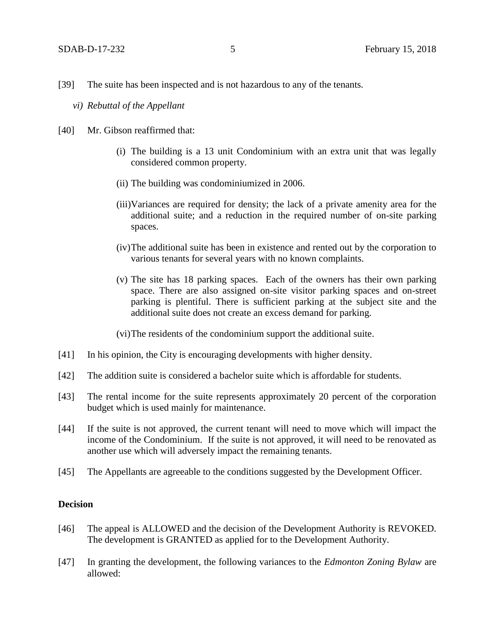- *vi) Rebuttal of the Appellant*
- [40] Mr. Gibson reaffirmed that:
	- (i) The building is a 13 unit Condominium with an extra unit that was legally considered common property.
	- (ii) The building was condominiumized in 2006.
	- (iii)Variances are required for density; the lack of a private amenity area for the additional suite; and a reduction in the required number of on-site parking spaces.
	- (iv)The additional suite has been in existence and rented out by the corporation to various tenants for several years with no known complaints.
	- (v) The site has 18 parking spaces. Each of the owners has their own parking space. There are also assigned on-site visitor parking spaces and on-street parking is plentiful. There is sufficient parking at the subject site and the additional suite does not create an excess demand for parking.

(vi)The residents of the condominium support the additional suite.

- [41] In his opinion, the City is encouraging developments with higher density.
- [42] The addition suite is considered a bachelor suite which is affordable for students.
- [43] The rental income for the suite represents approximately 20 percent of the corporation budget which is used mainly for maintenance.
- [44] If the suite is not approved, the current tenant will need to move which will impact the income of the Condominium. If the suite is not approved, it will need to be renovated as another use which will adversely impact the remaining tenants.
- [45] The Appellants are agreeable to the conditions suggested by the Development Officer.

## **Decision**

- [46] The appeal is ALLOWED and the decision of the Development Authority is REVOKED. The development is GRANTED as applied for to the Development Authority.
- [47] In granting the development, the following variances to the *Edmonton Zoning Bylaw* are allowed: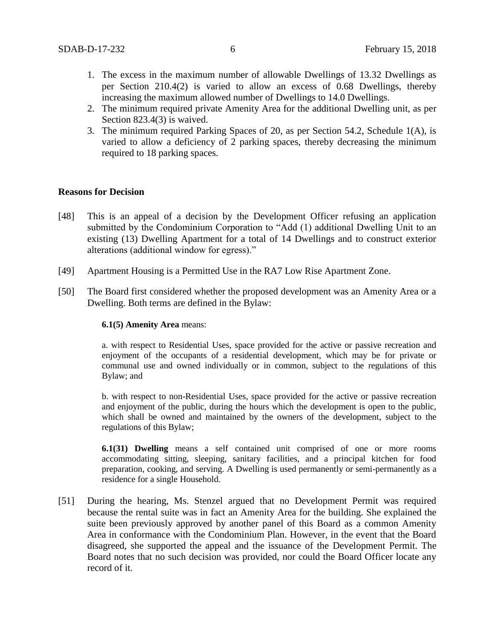- 1. The excess in the maximum number of allowable Dwellings of 13.32 Dwellings as per Section 210.4(2) is varied to allow an excess of 0.68 Dwellings, thereby increasing the maximum allowed number of Dwellings to 14.0 Dwellings.
- 2. The minimum required private Amenity Area for the additional Dwelling unit, as per Section 823.4(3) is waived.
- 3. The minimum required Parking Spaces of 20, as per Section 54.2, Schedule 1(A), is varied to allow a deficiency of 2 parking spaces, thereby decreasing the minimum required to 18 parking spaces.

## **Reasons for Decision**

- [48] This is an appeal of a decision by the Development Officer refusing an application submitted by the Condominium Corporation to "Add (1) additional Dwelling Unit to an existing (13) Dwelling Apartment for a total of 14 Dwellings and to construct exterior alterations (additional window for egress)."
- [49] Apartment Housing is a Permitted Use in the RA7 Low Rise Apartment Zone.
- [50] The Board first considered whether the proposed development was an Amenity Area or a Dwelling. Both terms are defined in the Bylaw:

#### **6.1(5) Amenity Area** means:

a. with respect to Residential Uses, space provided for the active or passive recreation and enjoyment of the occupants of a residential development, which may be for private or communal use and owned individually or in common, subject to the regulations of this Bylaw; and

b. with respect to non-Residential Uses, space provided for the active or passive recreation and enjoyment of the public, during the hours which the development is open to the public, which shall be owned and maintained by the owners of the development, subject to the regulations of this Bylaw;

**6.1(31) Dwelling** means a self contained unit comprised of one or more rooms accommodating sitting, sleeping, sanitary facilities, and a principal kitchen for food preparation, cooking, and serving. A Dwelling is used permanently or semi-permanently as a residence for a single Household.

[51] During the hearing, Ms. Stenzel argued that no Development Permit was required because the rental suite was in fact an Amenity Area for the building. She explained the suite been previously approved by another panel of this Board as a common Amenity Area in conformance with the Condominium Plan. However, in the event that the Board disagreed, she supported the appeal and the issuance of the Development Permit. The Board notes that no such decision was provided, nor could the Board Officer locate any record of it.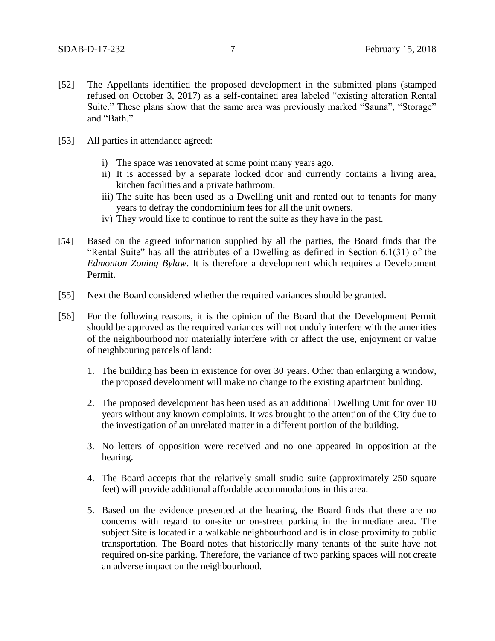- [52] The Appellants identified the proposed development in the submitted plans (stamped refused on October 3, 2017) as a self-contained area labeled "existing alteration Rental Suite." These plans show that the same area was previously marked "Sauna", "Storage" and "Bath"
- [53] All parties in attendance agreed:
	- i) The space was renovated at some point many years ago.
	- ii) It is accessed by a separate locked door and currently contains a living area, kitchen facilities and a private bathroom.
	- iii) The suite has been used as a Dwelling unit and rented out to tenants for many years to defray the condominium fees for all the unit owners.
	- iv) They would like to continue to rent the suite as they have in the past.
- [54] Based on the agreed information supplied by all the parties, the Board finds that the "Rental Suite" has all the attributes of a Dwelling as defined in Section 6.1(31) of the *Edmonton Zoning Bylaw*. It is therefore a development which requires a Development Permit.
- [55] Next the Board considered whether the required variances should be granted.
- [56] For the following reasons, it is the opinion of the Board that the Development Permit should be approved as the required variances will not unduly interfere with the amenities of the neighbourhood nor materially interfere with or affect the use, enjoyment or value of neighbouring parcels of land:
	- 1. The building has been in existence for over 30 years. Other than enlarging a window, the proposed development will make no change to the existing apartment building.
	- 2. The proposed development has been used as an additional Dwelling Unit for over 10 years without any known complaints. It was brought to the attention of the City due to the investigation of an unrelated matter in a different portion of the building.
	- 3. No letters of opposition were received and no one appeared in opposition at the hearing.
	- 4. The Board accepts that the relatively small studio suite (approximately 250 square feet) will provide additional affordable accommodations in this area.
	- 5. Based on the evidence presented at the hearing, the Board finds that there are no concerns with regard to on-site or on-street parking in the immediate area. The subject Site is located in a walkable neighbourhood and is in close proximity to public transportation. The Board notes that historically many tenants of the suite have not required on-site parking. Therefore, the variance of two parking spaces will not create an adverse impact on the neighbourhood.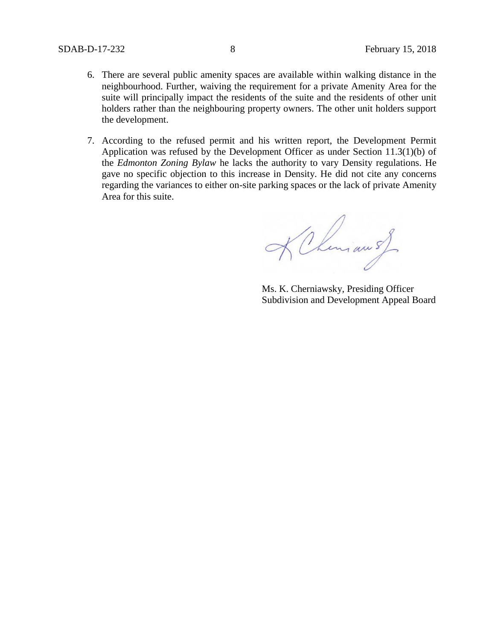- 6. There are several public amenity spaces are available within walking distance in the neighbourhood. Further, waiving the requirement for a private Amenity Area for the suite will principally impact the residents of the suite and the residents of other unit holders rather than the neighbouring property owners. The other unit holders support the development.
- 7. According to the refused permit and his written report, the Development Permit Application was refused by the Development Officer as under Section 11.3(1)(b) of the *Edmonton Zoning Bylaw* he lacks the authority to vary Density regulations. He gave no specific objection to this increase in Density. He did not cite any concerns regarding the variances to either on-site parking spaces or the lack of private Amenity Area for this suite.

KChemian of

Ms. K. Cherniawsky, Presiding Officer Subdivision and Development Appeal Board